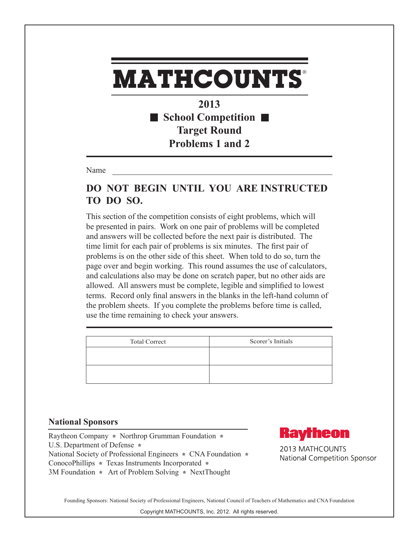**2013** ■ School Competition ■ **Target Round Problems 1 and 2**

Name

### **DO NOT BEGIN UNTIL YOU ARE INSTRUCTED TO DO SO.**

This section of the competition consists of eight problems, which will be presented in pairs. Work on one pair of problems will be completed and answers will be collected before the next pair is distributed. The time limit for each pair of problems is six minutes. The first pair of problems is on the other side of this sheet. When told to do so, turn the page over and begin working. This round assumes the use of calculators, and calculations also may be done on scratch paper, but no other aids are allowed. All answers must be complete, legible and simplified to lowest terms. Record only final answers in the blanks in the left-hand column of the problem sheets. If you complete the problems before time is called, use the time remaining to check your answers.

| <b>Total Correct</b> | Scorer's Initials |
|----------------------|-------------------|
|                      |                   |
|                      |                   |

#### **National Sponsors**

Raytheon Company **\*** Northrop Grumman Foundation **\***  U.S. Department of Defense **\***  National Society of Professional Engineers **\*** CNA Foundation **\***  ConocoPhillips **\*** Texas Instruments Incorporated **\*** 3M Foundation **\*** Art of Problem Solving **\*** NextThought



2013 MATHCOUNTS National Competition Sponsor

Founding Sponsors: National Society of Professional Engineers, National Council of Teachers of Mathematics and CNA Foundation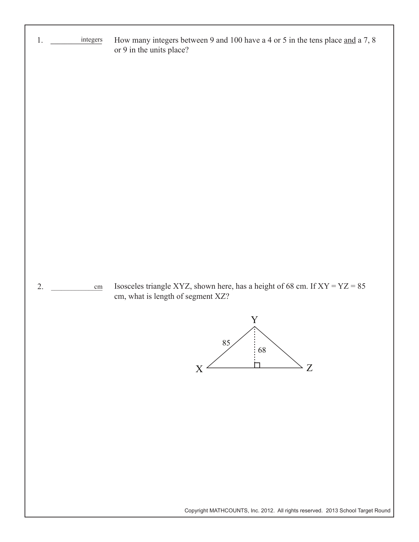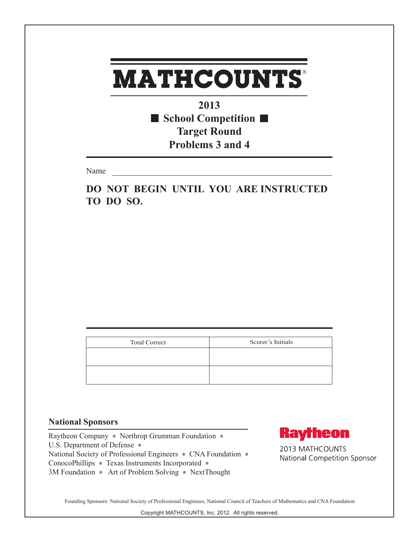**2013 School Competition Target Round Problems 3 and 4**

Name

**DO NOT BEGIN UNTIL YOU ARE INSTRUCTED TO DO SO.**

| <b>Total Correct</b> | Scorer's Initials |
|----------------------|-------------------|
|                      |                   |
|                      |                   |
|                      |                   |

#### **National Sponsors**

Raytheon Company **\*** Northrop Grumman Foundation **\***  U.S. Department of Defense **\***  National Society of Professional Engineers **\*** CNA Foundation **\***  ConocoPhillips **\*** Texas Instruments Incorporated **\*** 3M Foundation **\*** Art of Problem Solving **\*** NextThought



2013 MATHCOUNTS National Competition Sponsor

Founding Sponsors: National Society of Professional Engineers, National Council of Teachers of Mathematics and CNA Foundation

Copyright MATHCOUNTS, Inc. 2012. All rights reserved.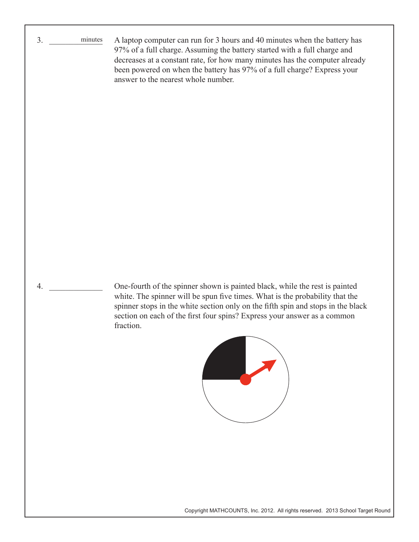3. \_\_\_\_\_\_\_\_\_\_\_\_\_ minutesA laptop computer can run for 3 hours and 40 minutes when the battery has 97% of a full charge. Assuming the battery started with a full charge and decreases at a constant rate, for how many minutes has the computer already been powered on when the battery has 97% of a full charge? Express your answer to the nearest whole number. 

> One-fourth of the spinner shown is painted black, while the rest is painted white. The spinner will be spun five times. What is the probability that the spinner stops in the white section only on the fifth spin and stops in the black section on each of the first four spins? Express your answer as a common fraction.

4. \_\_\_\_\_\_\_\_\_\_\_\_\_



Copyright MATHCOUNTS, Inc. 2012. All rights reserved. 2013 School Target Round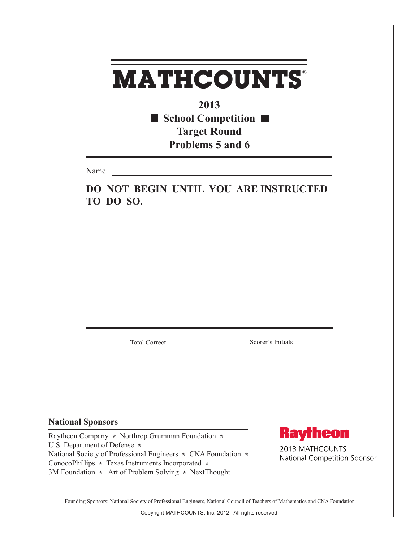**2013** ■ School Competition ■ **Target Round Problems 5 and 6**

Name

**DO NOT BEGIN UNTIL YOU ARE INSTRUCTED TO DO SO.**

| <b>Total Correct</b> | Scorer's Initials |
|----------------------|-------------------|
|                      |                   |
|                      |                   |
|                      |                   |

#### **National Sponsors**

Raytheon Company **\*** Northrop Grumman Foundation **\***  U.S. Department of Defense **\***  National Society of Professional Engineers **\*** CNA Foundation **\***  ConocoPhillips **\*** Texas Instruments Incorporated **\*** 3M Foundation **\*** Art of Problem Solving **\*** NextThought



2013 MATHCOUNTS National Competition Sponsor

Founding Sponsors: National Society of Professional Engineers, National Council of Teachers of Mathematics and CNA Foundation

Copyright MATHCOUNTS, Inc. 2012. All rights reserved.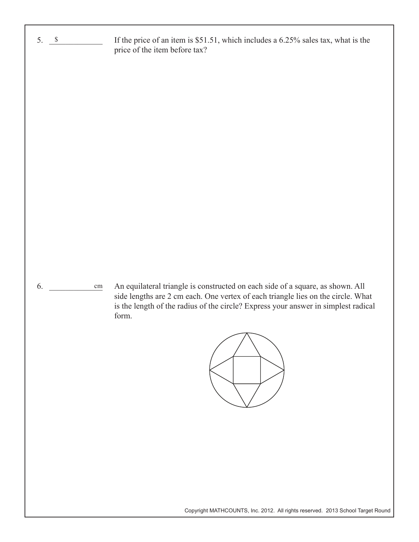| $5.$ $\sqrt{ }$  | If the price of an item is \$51.51, which includes a 6.25% sales tax, what is the<br>price of the item before tax?                                                                                                                                                            |
|------------------|-------------------------------------------------------------------------------------------------------------------------------------------------------------------------------------------------------------------------------------------------------------------------------|
| 6.<br>$\,\rm cm$ | An equilateral triangle is constructed on each side of a square, as shown. All<br>side lengths are 2 cm each. One vertex of each triangle lies on the circle. What<br>is the length of the radius of the circle? Express your answer in simplest radical<br>form.<br>$\Delta$ |
|                  |                                                                                                                                                                                                                                                                               |

Copyright MATHCOUNTS, Inc. 2012. All rights reserved. 2013 School Target Round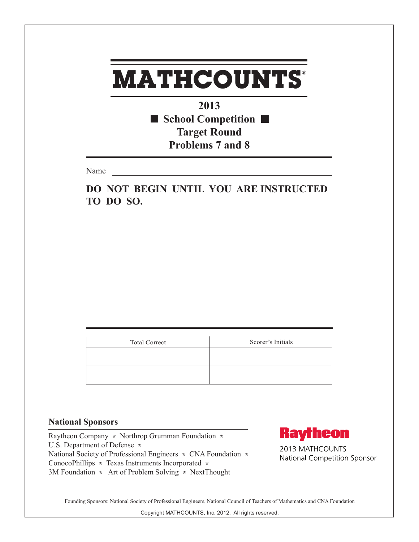**2013** ■ School Competition ■ **Target Round Problems 7 and 8**

Name

**DO NOT BEGIN UNTIL YOU ARE INSTRUCTED TO DO SO.**

| <b>Total Correct</b> | Scorer's Initials |
|----------------------|-------------------|
|                      |                   |
|                      |                   |
|                      |                   |

#### **National Sponsors**

Raytheon Company **\*** Northrop Grumman Foundation **\***  U.S. Department of Defense **\***  National Society of Professional Engineers **\*** CNA Foundation **\***  ConocoPhillips **\*** Texas Instruments Incorporated **\*** 3M Foundation **\*** Art of Problem Solving **\*** NextThought



2013 MATHCOUNTS National Competition Sponsor

Founding Sponsors: National Society of Professional Engineers, National Council of Teachers of Mathematics and CNA Foundation

Copyright MATHCOUNTS, Inc. 2012. All rights reserved.